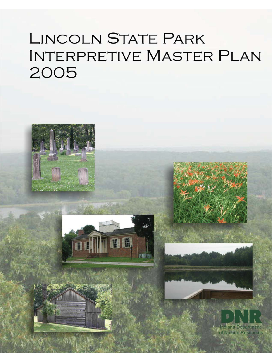# **LINCOLN STATE PARK INTERPRETIVE MASTER PLAN** 2005



**Indiana Department** f Natural Resources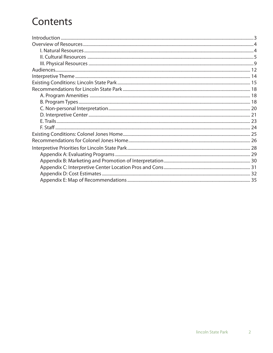# Contents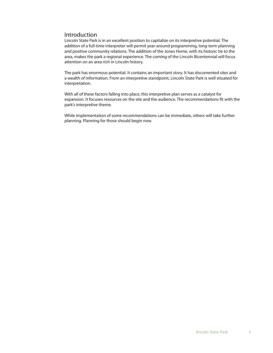# Introduction

Lincoln State Park is in an excellent position to capitalize on its interpretive potential. The addition of a full-time interpreter will permit year-around programming, long-term planning and positive community relations. The addition of the Jones Home, with its historic tie to the area, makes the park a regional experience. The coming of the Lincoln Bicentennial will focus attention on an area rich in Lincoln history.

The park has enormous potential. It contains an important story. It has documented sites and a wealth of information. From an interpretive standpoint, Lincoln State Park is well situated for interpretation.

With all of these factors falling into place, this interpretive plan serves as a catalyst for expansion. It focuses resources on the site and the audience. The recommendations fit with the park's interpretive theme.

While implementation of some recommendations can be immediate, others will take further planning. Planning for those should begin now.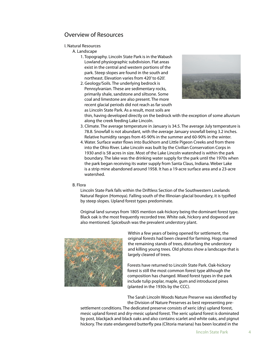# Overview of Resources

#### I. Natural Resources

A. Landscape

- 1. Topography. Lincoln State Park is in the Wabash Lowland physiographic subdivision. Flat areas exist in the central and western portions of the park. Steep slopes are found in the south and northeast. Elevation varies from 420' to 620'.
- 2. Geology/Soils. The underlying bedrock is Pennsylvanian. These are sedimentary rocks, primarily shale, sandstone and siltsone. Some coal and limestone are also present. The more recent glacial periods did not reach as far south as Lincoln State Park. As a result, most soils are



thin, having developed directly on the bedrock with the exception of some alluvium along the creek feeding Lake Lincoln.

- 3. Climate. The average temperature in January is 34.5. The average July temperature is 78.8. Snowfall is not abundant, with the average January snowfall being 3.2 inches. Relative humidity ranges from 45-90% in the summer and 60-90% in the winter.
- 4. Water. Surface water flows into Buckhorn and Little Pigeon Creeks and from there into the Ohio River. Lake Lincoln was built by the Civilian Conservation Corps in 1930 and is 58 acres in size. Most of the Lake Lincoln watershed is within the park boundary. The lake was the drinking water supply for the park until the 1970s when the park began receiving its water supply from Santa Claus, Indiana. Weber Lake is a strip mine abandoned around 1958. It has a 19-acre surface area and a 23-acre watershed.

#### B. Flora

Lincoln State Park falls within the Driftless Section of the Southwestern Lowlands Natural Region (Homoya). Falling south of the Illinoian glacial boundary, it is typified by steep slopes. Upland forest types predominate.

Original land surveys from 1805 mention oak-hickory being the dominant forest type. Black oak is the most frequently recorded tree. White oak, hickory and dogwood are also mentioned. Spicebush was the prevalent understory plant.



Within a few years of being opened for settlement, the original forests had been cleared for farming. Hogs roamed the remaining stands of trees, disturbing the understory and killing young trees. Old photos show a landscape that is largely cleared of trees.

Forests have returned to Lincoln State Park. Oak-hickory forest is still the most common forest type although the composition has changed. Mixed forest types in the park include tulip poplar, maple, gum and introduced pines (planted in the 1930s by the CCC).

The Sarah Lincoln Woods Nature Preserve was identified by the Division of Nature Preserves as best representing pre-

settlement conditions. The dedicated preserve consists of xeric (dry) upland forest, mesic upland forest and dry-mesic upland forest. The xeric upland forest is dominated by post, blackjack and black oaks and also contains scarlet and white oaks, and pignut hickory. The state endangered butterfly pea (Clitoria mariana) has been located in the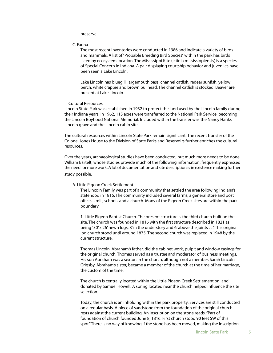preserve.

#### C. Fauna

The most recent inventories were conducted in 1986 and indicate a variety of birds and mammals. A list of "Probable Breeding Bird Species" within the park has birds listed by ecosystem location. The Mississippi Kite (Ictinia mississippiensis) is a species of Special Concern in Indiana. A pair displaying courtship behavior and juveniles have been seen a Lake Lincoln.

Lake Lincoln has bluegill, largemouth bass, channel catfish, redear sunfish, yellow perch, white crappie and brown bullhead. The channel catfish is stocked. Beaver are present at Lake Lincoln.

#### II. Cultural Resources

Lincoln State Park was established in 1932 to protect the land used by the Lincoln family during their Indiana years. In 1962, 115 acres were transferred to the National Park Service, becoming the Lincoln Boyhood National Memorial. Included within the transfer was the Nancy Hanks Lincoln grave and the Lincoln cabin site.

The cultural resources within Lincoln State Park remain significant. The recent transfer of the Colonel Jones House to the Division of State Parks and Reservoirs further enriches the cultural resources.

Over the years, archaeological studies have been conducted, but much more needs to be done. William Bartelt, whose studies provide much of the following information, frequently expressed the need for more work. A lot of documentation and site description is in existence making further study possible.

#### A. Little Pigeon Creek Settlement

The Lincoln Family was part of a community that settled the area following Indiana's statehood in 1816. The community included several farms, a general store and post office, a mill, schools and a church. Many of the Pigeon Creek sites are within the park boundary.

1. Little Pigeon Baptist Church. The present structure is the third church built on the site. The church was founded in 1816 with the first structure described in 1821 as being "30' x 26' hewn logs, 8' in the understory and 6' above the joints . . ." This original log church stood until around 1875. The second church was replaced in 1948 by the current structure.

Thomas Lincoln, Abraham's father, did the cabinet work, pulpit and window casings for the original church. Thomas served as a trustee and moderator of business meetings. His son Abraham was a sexton in the church, although not a member. Sarah Lincoln Grigsby, Abraham's sister, became a member of the church at the time of her marriage, the custom of the time.

The church is centrally located within the Little Pigeon Creek Settlement on land donated by Samuel Howell. A spring located near the church helped influence the site selection.

Today, the church is an inholding within the park property. Services are still conducted on a regular basis. A piece of sandstone from the foundation of the original church rests against the current building. An inscription on the stone reads, "Part of foundation of church founded June 8, 1816. First church stood 90 feet SW of this spot." There is no way of knowing if the stone has been moved, making the inscription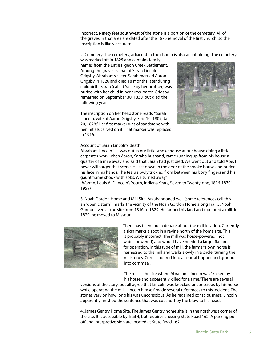incorrect. Ninety feet southwest of the stone is a portion of the cemetery. All of the graves in that area are dated after the 1875 removal of the first church, so the inscription is likely accurate.

2. Cemetery. The cemetery, adjacent to the church is also an inholding. The cemetery

was marked off in 1825 and contains family names from the Little Pigeon Creek Settlement. Among the graves is that of Sarah Lincoln Grigsby, Abraham's sister. Sarah married Aaron Grigsby in 1826 and died 18 months later during childbirth. Sarah (called Sallie by her brother) was buried with her child in her arms. Aaron Grigsby remarried on September 30, 1830, but died the following year.

The inscription on her headstone reads, "Sarah Lincoln, wife of Aaron Grigsby, Feb. 10, 1807, Jan. 20, 1828." Her first marker was of sandstone with her initials carved on it. That marker was replaced in 1916.



#### Account of Sarah Lincoln's death:

Abraham Lincoln " . . . was out in our little smoke house at our house doing a little carpenter work when Aaron, Sarah's husband, came running up from his house a quarter of a mile away and said that Sarah had just died. We went out and told Abe. I never will forget that scene. He sat down in the door of the smoke house and buried his face in his hands. The tears slowly trickled from between his bony fingers and his gaunt frame shook with sobs. We turned away."

 (Warren, Louis A., "Lincoln's Youth, Indiana Years, Seven to Twenty-one, 1816-1830", 1959)

3. Noah Gordon Home and Mill Site. An abandoned well (some references call this an "open cistern") marks the vicinity of the Noah Gordon Home along Trail 5. Noah Gordon lived at the site from 1816 to 1829. He farmed his land and operated a mill. In 1829, he moved to Missouri.



There has been much debate about the mill location. Currently a sign marks a spot in a ravine north of the home site. This is probably incorrect. The mill was horse-powered (not water-powered) and would have needed a larger flat area for operation. In this type of mill, the farmer's own horse is harnessed to the mill and walks slowly in a circle, turning the millstones. Corn is poured into a central hopper and ground into cornmeal.

The mill is the site where Abraham Lincoln was "kicked by his horse and apparently killed for a time." There are several

versions of the story, but all agree that Lincoln was knocked unconscious by his horse while operating the mill. Lincoln himself made several references to this incident. The stories vary on how long his was unconscious. As he regained consciousness, Lincoln apparently finished the sentence that was cut short by the blow to his head.

4. James Gentry Home Site. The James Gentry home site is in the northwest corner of the site. It is accessible by Trail 4, but requires crossing State Road 162. A parking pulloff and interpretive sign are located at State Road 162.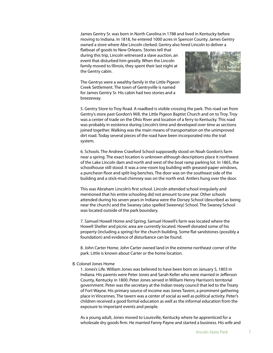James Gentry Sr. was born in North Carolina in 1788 and lived in Kentucky before moving to Indiana. In 1818, he entered 1000 acres in Spencer County. James Gentry owned a store where Abe Lincoln clerked. Gentry also hired Lincoln to deliver a

flatboat of goods to New Orleans. Stories tell that during this trip, Lincoln witnessed a slave auction, an event that disturbed him greatly. When the Lincoln family moved to Illinois, they spent their last night at the Gentry cabin.

The Gentrys were a wealthy family in the Little Pigeon Creek Settlement. The town of Gentryville is named for James Gentry Sr. His cabin had two stories and a breezeway.



5. Gentry Store to Troy Road. A roadbed is visible crossing the park. This road ran from Gentry's store past Gordon's Mill, the Little Pigeon Baptist Church and on to Troy. Troy was a center of trade on the Ohio River and location of a ferry to Kentucky. This road was probably in existence during Lincoln's time and developed over time as sections joined together. Walking was the main means of transportation on the unimproved dirt road. Today several pieces of the road have been incorporated into the trail system.

6. Schools. The Andrew Crawford School supposedly stood on Noah Gordon's farm near a spring. The exact location is unknown although descriptions place it northwest of the Lake Lincoln dam and north and west of the boat ramp parking lot. In 1865, the schoolhouse still stood. It was a one-room log building with greased-paper windows, a puncheon floor and split-log benches. The door was on the southeast side of the building and a stick-mud chimney was on the north end. Antlers hung over the door.

This was Abraham Lincoln's first school. Lincoln attended school irregularly and mentioned that his entire schooling did not amount to one year. Other schools attended during his seven years in Indiana were the Dorsey School (described as being near the church) and the Swaney (also spelled Sweeney) School. The Swaney School was located outside of the park boundary.

7. Samuel Howell Home and Spring. Samuel Howell's farm was located where the Howell Shelter and picnic area are currently located. Howell donated some of his property (including a spring) for the church building. Some flat sandstones (possibly a foundation) and evidence of disturbance can be found.

8. John Carter Home. John Carter owned land in the extreme northeast corner of the park. Little is known about Carter or the home location.

#### B. Colonel Jones Home

1. Jones's Life. William Jones was believed to have been born on January 5, 1803 in Indiana. His parents were Peter Jones and Sarah Keller who were married in Jefferson County, Kentucky in 1800. Peter Jones served in William Henry Harrison's territorial government. Peter was the secretary at the Indian treaty council that led to the Treaty of Fort Wayne. His primary source of income was Jones Tavern, a prominent gathering place in Vincennes. The tavern was a center of social as well as political activity. Peter's children received a good formal education as well as the informal education from the exposure to important events and people.

As a young adult, Jones moved to Louisville, Kentucky where he apprenticed for a wholesale dry goods firm. He married Fanny Payne and started a business. His wife and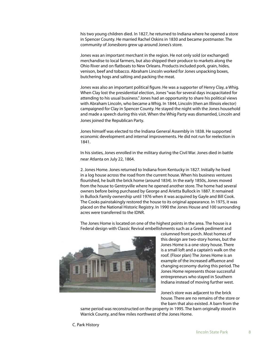his two young children died. In 1827, he returned to Indiana where he opened a store in Spencer County. He married Rachel Oskins in 1830 and became postmaster. The community of Jonesboro grew up around Jones's store.

Jones was an important merchant in the region. He not only sold (or exchanged) merchandise to local farmers, but also shipped their produce to markets along the Ohio River and on flatboats to New Orleans. Products included pork, grain, hides, venison, beef and tobacco. Abraham Lincoln worked for Jones unpacking boxes, butchering hogs and salting and packing the meat.

Jones was also an important political figure. He was a supporter of Henry Clay, a Whig. When Clay lost the presidential election, Jones "was for several days incapacitated for attending to his usual business." Jones had an opportunity to share his political views with Abraham Lincoln, who became a Whig. In 1844, Lincoln (then an Illinois elector) campaigned for Clay in Spencer County. He stayed the night with the Jones household and made a speech during this visit. When the Whig Party was dismantled, Lincoln and Jones joined the Republican Party.

Jones himself was elected to the Indiana General Assembly in 1838. He supported economic development and internal improvements. He did not run for reelection in 1841.

In his sixties, Jones enrolled in the military during the Civil War. Jones died in battle near Atlanta on July 22, 1864.

2. Jones Home. Jones returned to Indiana from Kentucky in 1827. Initially he lived in a log house across the road from the current house. When his business ventures flourished, he built the brick home (around 1834). In the early 1850s, Jones moved from the house to Gentryville where he opened another store. The home had several owners before being purchased by George and Arietta Bullock in 1887. It remained in Bullock Family ownership until 1976 when it was acquired by Gayle and Bill Cook. The Cooks painstakingly restored the house to its original appearance. In 1975, it was placed on the National Historic Registry. In 1990 the Jones House and 100 surrounding acres were transferred to the IDNR.

The Jones Home is located on one of the highest points in the area. The house is a Federal design with Classic Revival embellishments such as a Greek pediment and



columned front porch. Most homes of this design are two-story homes, but the Jones Home is a one-story house. There is a small loft and a captain's walk on the roof. (Floor plan) The Jones Home is an example of the increased affluence and changing economy during this period. The Jones Home represents those successful entrepreneurs who stayed in Southern Indiana instead of moving further west.

Jones's store was adjacent to the brick house. There are no remains of the store or the barn that also existed. A barn from the

same period was reconstructed on the property in 1995. The barn originally stood in Warrick County, and few miles northwest of the Jones Home.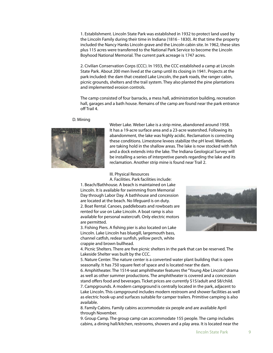1. Establishment. Lincoln State Park was established in 1932 to protect land used by the Lincoln Family during their time in Indiana (1816 - 1830). At that time the property included the Nancy Hanks Lincoln grave and the Lincoln cabin site. In 1962, these sites plus 115 acres were transferred to the National Park Service to become the Lincoln Boyhood National Memorial. The current park acreage is 1747 acres.

2. Civilian Conservation Corps (CCC). In 1933, the CCC established a camp at Lincoln State Park. About 200 men lived at the camp until its closing in 1941. Projects at the park included: the dam that created Lake Lincoln, the park roads, the ranger cabin, picnic grounds, shelters and the trail system. They also planted the pine plantations and implemented erosion controls.

The camp consisted of four barracks, a mess hall, administration building, recreation hall, garages and a bath house. Remains of the camp are found near the park entrance off Trail 4.

#### D. Mining



Weber Lake. Weber Lake is a strip mine, abandoned around 1958. It has a 19-acre surface area and a 23-acre watershed. Following its abandonment, the lake was highly acidic. Reclamation is correcting these conditions. Limestone levees stabilize the pH level. Wetlands are taking hold in the shallow areas. The lake is now stocked with fish and a dock extends into the lake. The Indiana Geological Survey will be installing a series of interpretive panels regarding the lake and its reclamation. Another strip mine is found near Trail 2.

#### III. Physical Resources

A. Facilities. Park facilities include: 1. Beach/Bathhouse. A beach is maintained on Lake Lincoln. It is available for swimming from Memorial Day through Labor Day. A bathhouse and concession are located at the beach. No lifeguard is on duty.

2. Boat Rental. Canoes, paddleboats and rowboats are rented for use on Lake Lincoln. A boat ramp is also available for personal watercraft. Only electric motors are permitted.

3. Fishing Piers. A fishing pier is also located on Lake Lincoln. Lake Lincoln has bluegill, largemouth bass, channel catfish, redear sunfish, yellow perch, white crappie and brown bullhead.



4. Picnic Shelters. There are five picnic shelters in the park that can be reserved. The Lakeside Shelter was built by the CCC.

5. Nature Center. The nature center is a converted water plant building that is open seasonally. It has 750 square feet of space and is located near the dam.

6. Amphitheater. The 1514-seat amphitheater features the "Young Abe Lincoln" drama as well as other summer productions. The amphitheater is covered and a concession stand offers food and beverages. Ticket prices are currently \$15/adult and \$8/child. 7. Campgrounds. A modern campground is centrally located in the park, adjacent to Lake Lincoln. This campground includes modern restroom and shower facilities as well as electric hook-up and surfaces suitable for camper trailers. Primitive camping is also available.

8. Family Cabins. Family cabins accommodate six people and are available April through November.

9. Group Camp. The group camp can accommodate 155 people. The camp includes cabins, a dining hall/kitchen, restrooms, showers and a play area. It is located near the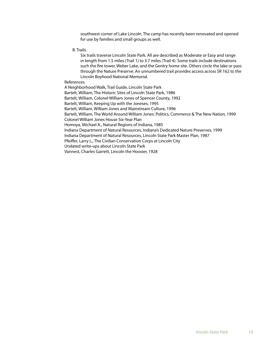southwest corner of Lake Lincoln. The camp has recently been renovated and opened for use by families and small groups as well.

B. Trails.

Six trails traverse Lincoln State Park. All are described as Moderate or Easy and range in length from 1.5 miles (Trail 1) to 3.7 miles (Trail 4). Some trails include destinations such the fire tower, Weber Lake, and the Gentry home site. Others circle the lake or pass through the Nature Preserve. An unnumbered trail provides access across SR 162 to the Lincoln Boyhood National Memorial.

References

A Neighborhood Walk, Trail Guide, Lincoln State Park Bartelt, William, The Historic Sites of Lincoln State Park, 1986 Bartelt, William, Colonel William Jones of Spencer County, 1992 Bartelt, William, Keeping Up with the Joneses, 1995 Bartelt, William, William Jones and Mainstream Culture, 1996 Bartelt, William, The World Around William Jones: Politics, Commerce & The New Nation, 1999 Colonel William Jones House Six-Year Plan Homoya, Michael A., Natural Regions of Indiana, 1985 Indiana Department of Natural Resources, Indiana's Dedicated Nature Preserves, 1999 Indiana Department of Natural Resources, Lincoln State Park Master Plan, 1987 Pfeiffer, Larry L., The Civilian Conservation Corps at Lincoln City Undated write-ups about Lincoln State Park Vannest, Charles Garrett, Lincoln the Hoosier, 1928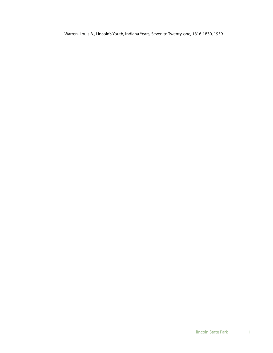Warren, Louis A., Lincoln's Youth, Indiana Years, Seven to Twenty-one, 1816-1830, 1959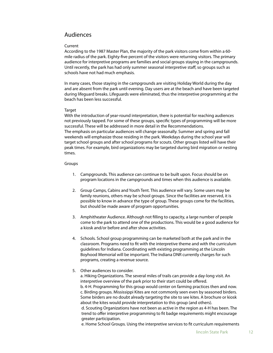# Audiences

#### Current

According to the 1987 Master Plan, the majority of the park visitors come from within a 60 mile radius of the park. Eighty-five percent of the visitors were returning visitors. The primary audience for interpretive programs are families and social groups staying in the campgrounds. Until recently, the park has had only summer seasonal interpretive staff, so groups such as schools have not had much emphasis.

In many cases, those staying in the campgrounds are visiting Holiday World during the day and are absent from the park until evening. Day users are at the beach and have been targeted during lifeguard breaks. Lifeguards were eliminated, thus the interpretive programming at the beach has been less successful.

#### **Target**

With the introduction of year-round interpretation, there is potential for reaching audiences not previously tapped. For some of these groups, specific types of programming will be more successful. These will be addressed in more detail in the Recommendations. The emphasis on particular audiences will change seasonally. Summer and spring and fall weekends will emphasize those residing in the park. Weekdays during the school year will target school groups and after school programs for scouts. Other groups listed will have their peak times. For example, bird organizations may be targeted during bird migration or nesting times.

#### Groups

- 1. Campgrounds. This audience can continue to be built upon. Focus should be on program locations in the campgrounds and times when this audience is available.
- 2. Group Camps, Cabins and Youth Tent. This audience will vary. Some users may be family reunions, others may be school groups. Since the facilities are reserved, it is possible to know in advance the type of group. These groups come for the facilities, but should be made aware of program opportunities.
- 3. Amphitheater Audience. Although not filling to capacity, a large number of people come to the park to attend one of the productions. This would be a good audience for a kiosk and/or before and after show activities.
- 4. Schools. School group programming can be marketed both at the park and in the classroom. Programs need to fi t with the interpretive theme and with the curriculum guidelines for Indiana. Coordinating with existing programming at the Lincoln Boyhood Memorial will be important. The Indiana DNR currently charges for such programs, creating a revenue source.

#### 5. Other audiences to consider.

a. Hiking Organizations. The several miles of trails can provide a day-long visit. An interpretive overview of the park prior to their start could be offered. b. 4-H. Programming for this group would center on farming practices then and now. c. Birding groups. Mississippi Kites are not commonly seen even by seasoned birders.

Some birders are no doubt already targeting the site to see kites. A brochure or kiosk about the kites would provide interpretation to this group (and others). d. Scouting Organizations have not been as active in the region as 4-H has been. The trend to offer interpretive programming to fit badge requirements might encourage greater participation.

e. Home School Groups. Using the interpretive services to fit curriculum requirements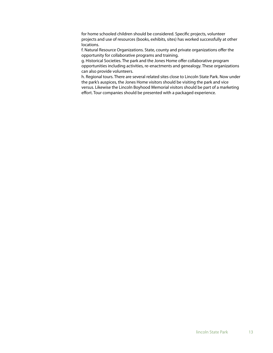for home schooled children should be considered. Specific projects, volunteer projects and use of resources (books, exhibits, sites) has worked successfully at other locations.

f. Natural Resource Organizations. State, county and private organizations offer the opportunity for collaborative programs and training.

g. Historical Societies. The park and the Jones Home offer collaborative program opportunities including activities, re-enactments and genealogy. These organizations can also provide volunteers.

h. Regional tours. There are several related sites close to Lincoln State Park. Now under the park's auspices, the Jones Home visitors should be visiting the park and vice versus. Likewise the Lincoln Boyhood Memorial visitors should be part of a marketing effort. Tour companies should be presented with a packaged experience.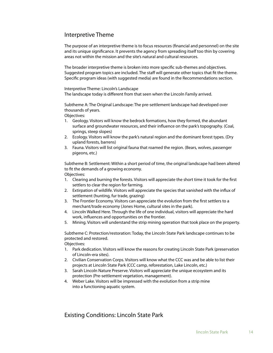# Interpretive Theme

The purpose of an interpretive theme is to focus resources (financial and personnel) on the site and its unique significance. It prevents the agency from spreading itself too thin by covering areas not within the mission and the site's natural and cultural resources.

The broader interpretive theme is broken into more specific sub-themes and objectives. Suggested program topics are included. The staff will generate other topics that fit the theme. Specific program ideas (with suggested media) are found in the Recommendations section.

Interpretive Theme: Lincoln's Landscape The landscape today is different from that seen when the Lincoln Family arrived.

Subtheme A: The Original Landscape: The pre-settlement landscape had developed over thousands of years.

Objectives:

- 1. Geology. Visitors will know the bedrock formations, how they formed, the abundant surface and groundwater resources, and their influence on the park's topography. (Coal, springs, steep slopes)
- 2. Ecology. Visitors will know the park's natural region and the dominant forest types. (Dry upland forests, barrens)
- 3. Fauna. Visitors will list original fauna that roamed the region. (Bears, wolves, passenger pigeons, etc.)

Subtheme B: Settlement: Within a short period of time, the original landscape had been altered to fit the demands of a growing economy. Objectives:

- 1. Clearing and burning the forests. Visitors will appreciate the short time it took for the first settlers to clear the region for farming.
- 2. Extirpation of wildlife. Visitors will appreciate the species that vanished with the influx of settlement (hunting, fur trade, grazing)
- 3. The Frontier Economy. Visitors can appreciate the evolution from the first settlers to a merchant/trade economy (Jones Home, cultural sites in the park).
- 4. Lincoln Walked Here. Through the life of one individual, visitors will appreciate the hard work, influences and opportunities on the frontier.
- 5. Mining. Visitors will understand the strip mining operation that took place on the property.

Subtheme C: Protection/restoration: Today, the Lincoln State Park landscape continues to be protected and restored.

Objectives:

- 1. Park dedication. Visitors will know the reasons for creating Lincoln State Park (preservation of Lincoln-era sites).
- 2. Civilian Conservation Corps. Visitors will know what the CCC was and be able to list their projects at Lincoln State Park (CCC camp, reforestation, Lake Lincoln, etc.)
- 3. Sarah Lincoln Nature Preserve. Visitors will appreciate the unique ecosystem and its protection (Pre-settlement vegetation, management).
- 4. Weber Lake. Visitors will be impressed with the evolution from a strip mine into a functioning aquatic system.

# Existing Conditions: Lincoln State Park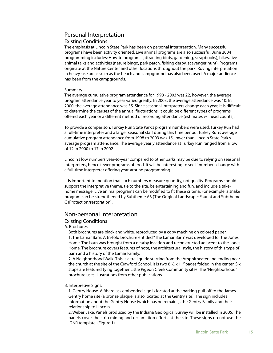# Personal Interpretation

#### Existing Conditions

The emphasis at Lincoln State Park has been on personal interpretation. Many successful programs have been activity oriented. Live animal programs are also successful. June 2004 programming includes: How-to programs (attracting birds, gardening, scrapbooks), hikes, live animal talks and activities (nature bingo, park patch, fishing derby, scavenger hunt). Programs originate at the Nature Center and other locations throughout the park. Roving interpretation in heavy-use areas such as the beach and campground has also been used. A major audience has been from the campgrounds.

#### Summary

The average cumulative program attendance for 1998 - 2003 was 22, however, the average program attendance year to year varied greatly. In 2003, the average attendance was 10. In 2000, the average attendance was 35. Since seasonal interpreters change each year, it is difficult to determine the causes of the annual fluctuations. It could be different types of programs offered each year or a different method of recording attendance (estimates vs. head counts).

To provide a comparison, Turkey Run State Park's program numbers were used. Turkey Run had a full-time interpreter and a larger seasonal staff during this time period. Turkey Run's average cumulative program attendance from 1998 to 2003 was 15, lower than Lincoln State Park's average program attendance. The average yearly attendance at Turkey Run ranged from a low of 12 in 2000 to 17 in 2002.

Lincoln's low numbers year-to-year compared to other parks may be due to relying on seasonal interpreters, hence fewer programs offered. It will be interesting to see if numbers change with a full-time interpreter offering year-around programming.

It is important to mention that such numbers measure quantity, not quality. Programs should support the interpretive theme, tie to the site, be entertaining and fun, and include a takehome message. Live animal programs can be modified to fit these criteria. For example, a snake program can be strengthened by Subtheme A3 (The Original Landscape: Fauna) and Subtheme C (Protection/restoration).

# Non-personal Interpretation

#### Existing Conditions

A. Brochures.

Both brochures are black and white, reproduced by a copy machine on colored paper. 1. The Lamar Barn. A tri-fold brochure entitled "The Lamar Barn" was developed for the Jones Home. The barn was brought from a nearby location and reconstructed adjacent to the Jones Home. The brochure covers features of note, the architectural style, the history of this type of barn and a history of the Lamar Family.

2. A Neighborhood Walk. This is a trail guide starting from the Amphitheater and ending near the church at the site of the Crawford School. It is two 8  $\frac{1}{2}$  x 11" pages folded in the center. Six stops are featured tying together Little Pigeon Creek Community sites. The "Neighborhood" brochure uses illustrations from other publications.

#### B. Interpretive Signs.

1. Gentry House. A fiberglass embedded sign is located at the parking pull-off to the James Gentry home site (a bronze plaque is also located at the Gentry site). The sign includes information about the Gentry House (which has no remains), the Gentry Family and their relationship to Lincoln.

2. Weber Lake. Panels produced by the Indiana Geological Survey will be installed in 2005. The panels cover the strip mining and reclamation efforts at the site. These signs do not use the IDNR template. (Figure 1)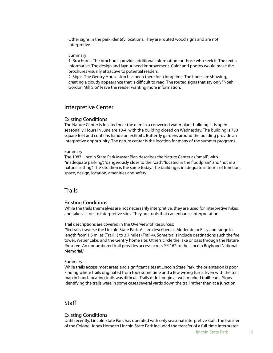Other signs in the park identify locations. They are routed wood signs and are not interpretive.

#### Summary

1. Brochures. The brochures provide additional information for those who seek it. The text is informative. The design and layout need improvement. Color and photos would make the brochures visually attractive to potential readers.

2. Signs. The Gentry House sign has been there for a long time. The fibers are showing, creating a cloudy appearance that is difficult to read. The routed signs that say only "Noah Gordon Mill Site" leave the reader wanting more information.

#### Interpretive Center

#### Existing Conditions

The Nature Center is located near the dam in a converted water plant building. It is open seasonally. Hours in June are 10-4, with the building closed on Wednesday. The building is 750 square feet and contains hands-on exhibits. Butterfly gardens around the building provide an interpretive opportunity. The nature center is the location for many of the summer programs.

#### Summary

The 1987 Lincoln State Park Master Plan describes the Nature Center as "small", with "inadequate parking", "dangerously close to the road", "located in the floodplain" and "not in a natural setting". The situation is the same today. The building is inadequate in terms of function, space, design, location, amenities and safety.

# **Trails**

#### Existing Conditions

While the trails themselves are not necessarily interpretive, they are used for interpretive hikes, and take visitors to interpretive sites. They are tools that can enhance interpretation.

Trail descriptions are covered in the Overview of Resources:

"Six trails traverse the Lincoln State Park. All are described as Moderate or Easy and range in length from 1.5 miles (Trail 1) to 3.7 miles (Trail 4). Some trails include destinations such the fire tower, Weber Lake, and the Gentry home site. Others circle the lake or pass through the Nature Preserve. An unnumbered trail provides access across SR 162 to the Lincoln Boyhood National Memorial."

#### Summary

While trails access most areas and significant sites at Lincoln State Park, the orientation is poor. Finding where trails originated from took some time and a few wrong turns. Even with the trail map in hand, locating trails was difficult. Trails didn't begin at well-marked trailheads. Signs identifying the trails were in some cases several yards down the trail rather than at a junction.

# **Staff**

#### Existing Conditions

Until recently, Lincoln State Park has operated with only seasonal interpretive staff . The transfer of the Colonel Jones Home to Lincoln State Park included the transfer of a full-time interpreter.

lincoln State Park 16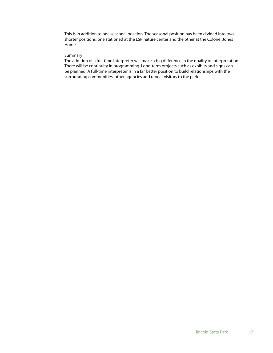This is in addition to one seasonal position. The seasonal position has been divided into two shorter positions, one stationed at the LSP nature center and the other at the Colonel Jones Home.

#### Summary

The addition of a full-time interpreter will make a big difference in the quality of interpretation. There will be continuity in programming. Long-term projects such as exhibits and signs can be planned. A full-time interpreter is in a far better position to build relationships with the surrounding communities, other agencies and repeat visitors to the park.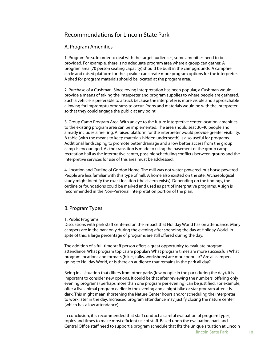# Recommendations for Lincoln State Park

#### A. Program Amenities

1. Program Area. In order to deal with the target audiences, some amenities need to be provided. For example, there is no adequate program area where a group can gather. A program area (70 person seating capacity) should be built in the campgrounds. A campfire circle and raised platform for the speaker can create more program options for the interpreter. A shed for program materials should be located at the program area.

2. Purchase of a Cushman. Since roving interpretation has been popular, a Cushman would provide a means of taking the interpreter and program supplies to where people are gathered. Such a vehicle is preferable to a truck because the interpreter is more visible and approachable allowing for impromptu programs to occur. Props and materials would be with the interpreter so that they could engage the public at any point.

3. Group Camp Program Area. With an eye to the future interpretive center location, amenities to the existing program area can be implemented. The area should seat 30-40 people and already includes a fire ring. A raised platform for the interpreter would provide greater visibility. A table (with the means to keep materials hidden underneath) is also useful for programs. Additional landscaping to promote better drainage and allow better access from the group camp is encouraged. As the transition is made to using the basement of the group camp recreation hall as the interpretive center, possible scheduling conflicts between groups and the interpretive services for use of this area must be addressed.

4. Location and Outline of Gordon Home. The mill was not water-powered, but horse powered. People are less familiar with this type of mill. A home also existed on the site. Archaeological study might identify the exact location (the cistern exists). Depending on the findings, the outline or foundations could be marked and used as part of interpretive programs. A sign is recommended in the Non-Personal Interpretation portion of the plan.

# B. Program Types

#### 1. Public Programs

Discussions with park staff centered on the impact that Holiday World has on attendance. Many campers are in the park only during the evening after spending the day at Holiday World. In spite of this, a large percentage of programs are still offered during the day.

The addition of a full-time staff person offers a great opportunity to evaluate program attendance. What program topics are popular? What program times are more successful? What program locations and formats (hikes, talks, workshops) are more popular? Are all campers going to Holiday World, or is there an audience that remains in the park all day?

Being in a situation that differs from other parks (few people in the park during the day), it is important to consider new options. It could be that after reviewing the numbers, offering only evening programs (perhaps more than one program per evening) can be justified. For example, offer a live animal program earlier in the evening and a night hike or star program after it is dark. This might mean shortening the Nature Center hours and/or scheduling the interpreter to work later in the day. Increased program attendance may justify closing the nature center (which has a low attendance).

In conclusion, it is recommended that staff conduct a careful evaluation of program types, topics and times to make most efficient use of staff. Based upon the evaluation, park and Central Office staff need to support a program schedule that fits the unique situation at Lincoln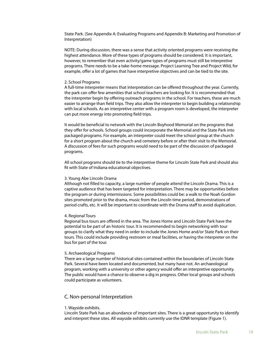State Park. (See Appendix A: Evaluating Programs and Appendix B: Marketing and Promotion of Interpretation)

NOTE: During discussion, there was a sense that activity oriented programs were receiving the highest attendance. More of these types of programs should be considered. It is important, however, to remember that even activity/game types of programs must still be interpretive programs. There needs to be a take-home message. Project Learning Tree and Project Wild, for example, offer a lot of games that have interpretive objectives and can be tied to the site.

#### 2. School Programs

A full-time interpreter means that interpretation can be offered throughout the year. Currently, the park can offer few amenities that school teachers are looking for. It is recommended that the interpreter begin by offering outreach programs in the school. For teachers, these are much easier to arrange than field trips. They also allow the interpreter to begin building a relationship with local schools. As an interpretive center with a program room is developed, the interpreter can put more energy into promoting field trips.

It would be beneficial to network with the Lincoln Boyhood Memorial on the programs that they offer for schools. School groups could incorporate the Memorial and the State Park into packaged programs. For example, an interpreter could meet the school group at the church for a short program about the church and cemetery before or after their visit to the Memorial. A discussion of fees for such programs would need to be part of the discussion of packaged programs.

All school programs should tie to the interpretive theme for Lincoln State Park and should also fit with State of Indiana educational objectives.

#### 3. Young Abe Lincoln Drama

Although not filled to capacity, a large number of people attend the Lincoln Drama. This is a captive audience that has been targeted for interpretation. There may be opportunities before the program or during intermissions. Some possibilities could be: a walk to the Noah Gordon sites promoted prior to the drama, music from the Lincoln time period, demonstrations of period crafts, etc. It will be important to coordinate with the Drama staff to avoid duplication.

#### 4. Regional Tours

Regional bus tours are offered in the area. The Jones Home and Lincoln State Park have the potential to be part of an historic tour. It is recommended to begin networking with tour groups to clarify what they need in order to include the Jones Home and/or State Park on their tours. This could include providing restroom or meal facilities, or having the interpreter on the bus for part of the tour.

#### 5. Archaeological Programs

There are a large number of historical sites contained within the boundaries of Lincoln State Park. Several have been located and documented, but many have not. An archaeological program, working with a university or other agency would offer an interpretive opportunity. The public would have a chance to observe a dig in progress. Other local groups and schools could participate as volunteers.

#### C. Non-personal Interpretation

#### 1. Wayside exhibits.

Lincoln State Park has an abundance of important sites. There is a great opportunity to identify and interpret these sites. All wayside exhibits currently use the IDNR template (Figure 1).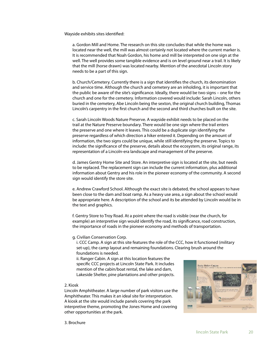Wayside exhibits sites identified:

a. Gordon Mill and Home. The research on this site concludes that while the home was located near the well, the mill was almost certainly not located where the current marker is. It is recommended that Noah Gordon, his home and mill be interpreted on one sign at the well. The well provides some tangible evidence and is on level ground near a trail. It is likely that the mill (horse drawn) was located nearby. Mention of the anecdotal Lincoln story needs to be a part of this sign.

b. Church/Cemetery. Currently there is a sign that identifies the church, its denomination and service time. Although the church and cemetery are an inholding, it is important that the public be aware of the site's significance. Ideally, there would be two signs – one for the church and one for the cemetery. Information covered would include: Sarah Lincoln, others buried in the cemetery, Abe Lincoln being the sexton, the original church building, Thomas Lincoln's carpentry in the first church and the second and third churches built on the site.

c. Sarah Lincoln Woods Nature Preserve. A wayside exhibit needs to be placed on the trail at the Nature Preserve boundary. There would be one sign where the trail enters the preserve and one where it leaves. This could be a duplicate sign identifying the preserve regardless of which direction a hiker entered it. Depending on the amount of information, the two signs could be unique, while still identifying the preserve. Topics to include: the significance of the preserve, details about the ecosystem, its original range, its representation of a Lincoln-era landscape and management of the preserve.

d. James Gentry Home Site and Store. An interpretive sign is located at the site, but needs to be replaced. The replacement sign can include the current information, plus additional information about Gentry and his role in the pioneer economy of the community. A second sign would identify the store site.

e. Andrew Crawford School. Although the exact site is debated, the school appears to have been close to the dam and boat ramp. As a heavy use area, a sign about the school would be appropriate here. A description of the school and its be attended by Lincoln would be in the text and graphics.

f. Gentry Store to Troy Road. At a point where the road is visible (near the church, for example) an interpretive sign would identify the road, its significance, road construction, the importance of roads in the pioneer economy and methods of transportation.

g. Civilian Conservation Corp.

i. CCC Camp. A sign at this site features the role of the CCC, how it functioned (military set-up), the camp layout and remaining foundations. Clearing brush around the foundations is needed.

ii. Ranger Cabin. A sign at this location features the specific CCC projects at Lincoln State Park. It includes mention of the cabin/boat rental, the lake and dam, Lakeside Shelter, pine plantations and other projects.

#### 2. Kiosk

Lincoln Amphitheater. A large number of park visitors use the Amphitheater. This makes it an ideal site for interpretation. A kiosk at the site would include panels covering the park interpretive theme, promoting the Jones Home and covering other opportunities at the park.



3. Brochure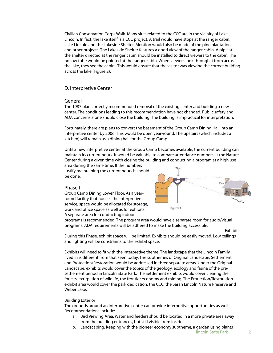Civilian Conservation Corps Walk. Many sites related to the CCC are in the vicinity of Lake Lincoln. In fact, the lake itself is a CCC project. A trail would have stops at the ranger cabin, Lake Lincoln and the Lakeside Shelter. Mention would also be made of the pine plantations and other projects. The Lakeside Shelter features a good view of the ranger cabin. A pipe at the shelter directed at the ranger cabin should be installed to direct viewers to the cabin. The hollow tube would be pointed at the ranger cabin. When viewers look through it from across the lake, they see the cabin. This would ensure that the visitor was viewing the correct building across the lake (Figure 2).

#### D. Interpretive Center

#### General

The 1987 plan correctly recommended removal of the existing center and building a new center. The conditions leading to this recommendation have not changed. Public safety and ADA concerns alone should close the building. The building is impractical for interpretation.

Fortunately, there are plans to convert the basement of the Group Camp Dining Hall into an interpretive center by 2006. This would be open year-round. The upstairs (which includes a kitchen) will remain as a dining hall for the Group Camp.

Until a new interpretive center at the Group Camp becomes available, the current building can maintain its current hours. It would be valuable to compare attendance numbers at the Nature Center during a given time with closing the building and conducting a program at a high use

area during the same time. If the numbers justify maintaining the current hours it should be done.

#### Phase I

Group Camp Dining Lower Floor. As a yearround facility that houses the interpretive service, space would be allocated for storage, work and office space as well as for exhibits. A separate area for conducting indoor



programs is recommended. The program area would have a separate room for audio/visual programs. ADA requirements will be adhered to make the building accessible.

Exhibits:

During this Phase, exhibit space will be limited. Exhibits should be easily moved. Low ceilings and lighting will be constraints to the exhibit space.

Exhibits will need to fit with the interpretive theme: The landscape that the Lincoln Family lived in is different from that seen today. The subthemes of Original Landscape, Settlement and Protection/Restoration would be addressed in three separate areas. Under the Original Landscape, exhibits would cover the topics of the geology, ecology and fauna of the presettlement period in Lincoln State Park. The Settlement exhibits would cover clearing the forests, extirpation of wildlife, the frontier economy and mining. The Protection/Restoration exhibit area would cover the park dedication, the CCC, the Sarah Lincoln Nature Preserve and Weber Lake.

#### Building Exterior

The grounds around an interpretive center can provide interpretive opportunities as well. Recommendations include:

- a. Bird Viewing Area. Water and feeders should be located in a more private area away from the building entrances, but still visible from inside.
- b. Landscaping. Keeping with the pioneer economy subtheme, a garden using plants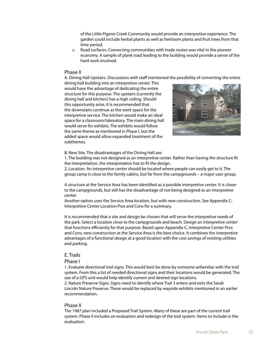of the Little Pigeon Creek Community would provide an interpretive experience. The garden could include herbal plants as well as heirloom plants and fruit trees from that time period.

c. Road surfaces. Connecting communities with trade routes was vital in the pioneer economy. A sample of plank road leading to the building would provide a sense of the hard work involved.

#### Phase II

A. Dining Hall Upstairs. Discussions with staff mentioned the possibility of converting the entire

dining hall building into an interpretive center. This would have the advantage of dedicating the entire structure for this purpose. The upstairs (currently the dining hall and kitchen) has a high ceiling. Should this opportunity arise, it is recommended that the downstairs continue as the work space for the interpretive service. The kitchen would make an ideal space for a classroom/laboratory. The main dining hall would serve for exhibits. The exhibits would follow the same theme as mentioned in Phase I, but the added space would allow expanded treatment of the subthemes.



B. New Site. The disadvantages of the Dining Hall are:

1. The building was not designed as an interpretive center. Rather than having the structure fit the interpretation, the interpretation has to fit the design.

2. Location. An interpretive center should be located where people can easily get to it. The group camp is close to the family cabins, but far from the campgrounds – a major user group.

A structure at the Service Area has been identified as a possible interpretive center. It is closer to the campgrounds, but still has the disadvantage of not being designed as an interpretive center.

Another option uses the Service Area location, but with new construction. See Appendix C: Interpretive Center Location Pros and Cons for a summary.

It is recommended that a site and design be chosen that will serve the interpretive needs of the park. Select a location close to the campgrounds and beach. Design an interpretive center that functions efficiently for that purpose. Based upon Appendix C, Interpretive Center Pros and Cons, new construction at the Service Area is the best choice. It combines the interpretive advantages of a functional design at a good location with the cost savings of existing utilities and parking.

#### E. Trails

#### Phase I

1. Evaluate directional trail signs. This would best be done by someone unfamiliar with the trail system. From this a list of needed directional signs and their locations would be generated. The use of a GPS unit would help identify current and desired sign locations.

2. Nature Preserve Signs. Signs need to identify where Trail 3 enters and exits the Sarah Lincoln Nature Preserve. These would be replaced by wayside exhibits mentioned in an earlier recommendation.

#### Phase II

The 1987 plan included a Proposed Trail System. Many of these are part of the current trail system. Phase II includes an evaluation and redesign of the trail system. Items to include in the evaluation.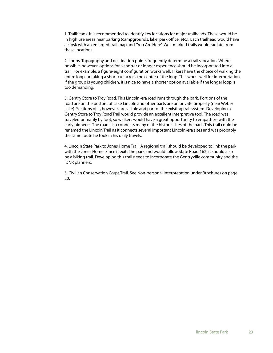1. Trailheads. It is recommended to identify key locations for major trailheads. These would be in high use areas near parking (campgrounds, lake, park office, etc.). Each trailhead would have a kiosk with an enlarged trail map and "You Are Here". Well-marked trails would radiate from these locations.

2. Loops. Topography and destination points frequently determine a trail's location. Where possible, however, options for a shorter or longer experience should be incorporated into a trail. For example, a figure-eight configuration works well. Hikers have the choice of walking the entire loop, or taking a short cut across the center of the loop. This works well for interpretation. If the group is young children, it is nice to have a shorter option available if the longer loop is too demanding.

3. Gentry Store to Troy Road. This Lincoln-era road runs through the park. Portions of the road are on the bottom of Lake Lincoln and other parts are on private property (near Weber Lake). Sections of it, however, are visible and part of the existing trail system. Developing a Gentry Store to Troy Road Trail would provide an excellent interpretive tool. The road was traveled primarily by foot, so walkers would have a great opportunity to empathize with the early pioneers. The road also connects many of the historic sites of the park. This trail could be renamed the Lincoln Trail as it connects several important Lincoln-era sites and was probably the same route he took in his daily travels.

4. Lincoln State Park to Jones Home Trail. A regional trail should be developed to link the park with the Jones Home. Since it exits the park and would follow State Road 162, it should also be a biking trail. Developing this trail needs to incorporate the Gentryville community and the IDNR planners.

5. Civilian Conservation Corps Trail. See Non-personal Interpretation under Brochures on page 20.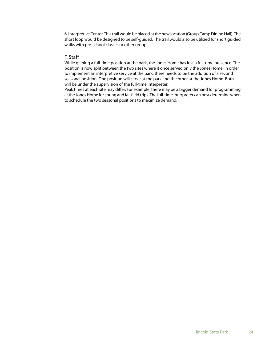6. Interpretive Center. This trail would be placed at the new location (Group Camp Dining Hall). The short loop would be designed to be self-guided. The trail would also be utilized for short guided walks with pre-school classes or other groups.

# F. Staff

While gaining a full-time position at the park, the Jones Home has lost a full-time presence. The position is now split between the two sites where it once served only the Jones Home. In order to implement an interpretive service at the park, there needs to be the addition of a second seasonal position. One position will serve at the park and the other at the Jones Home. Both will be under the supervision of the full-time interpreter.

Peak times at each site may differ. For example, there may be a bigger demand for programming at the Jones Home for spring and fall field trips. The full-time interpreter can best determine when to schedule the two seasonal positions to maximize demand.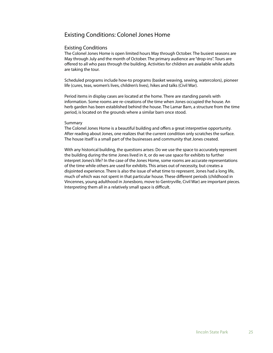# Existing Conditions: Colonel Jones Home

#### Existing Conditions

The Colonel Jones Home is open limited hours May through October. The busiest seasons are May through July and the month of October. The primary audience are "drop-ins". Tours are offered to all who pass through the building. Activities for children are available while adults are taking the tour.

Scheduled programs include how-to programs (basket weaving, sewing, watercolors), pioneer life (cures, teas, women's lives, children's lives), hikes and talks (Civil War).

Period items in display cases are located at the home. There are standing panels with information. Some rooms are re-creations of the time when Jones occupied the house. An herb garden has been established behind the house. The Lamar Barn, a structure from the time period, is located on the grounds where a similar barn once stood.

#### Summary

The Colonel Jones Home is a beautiful building and offers a great interpretive opportunity. After reading about Jones, one realizes that the current condition only scratches the surface. The house itself is a small part of the businesses and community that Jones created.

With any historical building, the questions arises: Do we use the space to accurately represent the building during the time Jones lived in it, or do we use space for exhibits to further interpret Jones's life? In the case of the Jones Home, some rooms are accurate representations of the time while others are used for exhibits. This arises out of necessity, but creates a disjointed experience. There is also the issue of what time to represent. Jones had a long life, much of which was not spent in that particular house. These different periods (childhood in Vincennes, young adulthood in Jonesboro, move to Gentryville, Civil War) are important pieces. Interpreting them all in a relatively small space is difficult.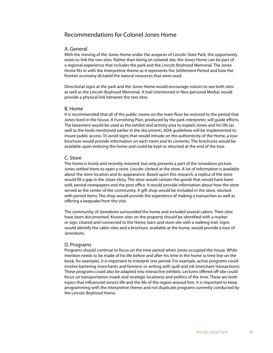# Recommendations for Colonel Jones Home

#### A. General

With the moving of the Jones Home under the auspices of Lincoln State Park, the opportunity exists to link the two sites. Rather than being an isolated site, the Jones Home can be part of a regional experience that includes the park and the Lincoln Boyhood Memorial. The Jones Home fits in with the interpretive theme as it represents the Settlement Period and how the frontier economy dictated the natural resources that were used.

Directional signs at the park and the Jones Home would encourage visitors to see both sites as well as the Lincoln Boyhood Memorial. A trail (mentioned in Non-personal Media) would provide a physical link between the two sites.

#### B. Home

It is recommended that all of the public rooms on the main floor be restored to the period that Jones lived in the house. A Furnishing Plan, produced by the park interpreter, will quide efforts. The basement would be used as the exhibit and activity area to explain Jones and his life (as well as the kiosk mentioned earlier in the document). ADA guidelines will be implemented to insure public access. To avoid signs that would intrude on the authenticity of the Home, a tour brochure would provide information on each room and its contents. The brochures would be available upon entering the home and could be kept or returned at the end of the tour.

#### C. Store

The home is lovely and recently restored, but only presents a part of the Jonesboro picture. Jones settled there to open a store. Lincoln clerked at the store. A lot of information is available about the store location and its appearance. Based upon this research, a replica of the store would fill a gap in the Jones story. The store would contain the goods that would have been sold, period newspapers and the post office. It would provide information about how the store served as the center of the community. A gift shop would be included in the store, stocked with period items. The shop would provide the experience of making a transaction as well as offering a keepsake from the visit.

The community of Jonesboro surrounded the home and included several cabins. Their sites have been documented. Known sites on the property should be identified with a marker or sign, cleared and connected to the Home, barn and store site with a walking trail. Signs would identify the cabin sites and a brochure, available at the home, would provide a tour of Jonesboro.

#### D. Programs

Programs should continue to focus on the time period when Jones occupied the house. While mention needs to be made of his life before and after his time in the home (a time line on the kiosk, for example), it is important to interpret one period. For example, active programs could involve bartering (merchants and farmers) or writing with quill and ink (merchant transactions). These programs could also be adapted into interactive exhibits. Lectures offered off-site could focus on transportation (roads and strategic locations) and politics of the time. These are both topics that influenced Jones's life and the life of the region around him. It is important to keep programming with the interpretive theme and not duplicate programs currently conducted by the Lincoln Boyhood Home.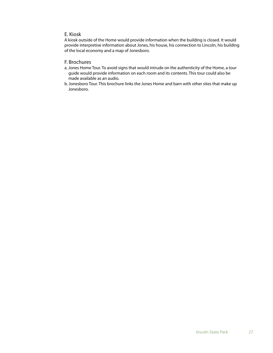#### E. Kiosk

A kiosk outside of the Home would provide information when the building is closed. It would provide interpretive information about Jones, his house, his connection to Lincoln, his building of the local economy and a map of Jonesboro.

# F. Brochures

- a. Jones Home Tour. To avoid signs that would intrude on the authenticity of the Home, a tour guide would provide information on each room and its contents. This tour could also be made available as an audio.
- b. Jonesboro Tour. This brochure links the Jones Home and barn with other sites that make up Jonesboro.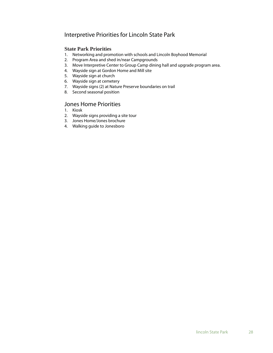# Interpretive Priorities for Lincoln State Park

## **State Park Priorities**

- 1. Networking and promotion with schools and Lincoln Boyhood Memorial
- 2. Program Area and shed in/near Campgrounds
- 3. Move Interpretive Center to Group Camp dining hall and upgrade program area.
- 4. Wayside sign at Gordon Home and Mill site
- 5. Wayside sign at church
- 6. Wayside sign at cemetery
- 7. Wayside signs (2) at Nature Preserve boundaries on trail
- 8. Second seasonal position

# Jones Home Priorities

- 1. Kiosk
- 2. Wayside signs providing a site tour
- 3. Jones Home/Jones brochure
- 4. Walking guide to Jonesboro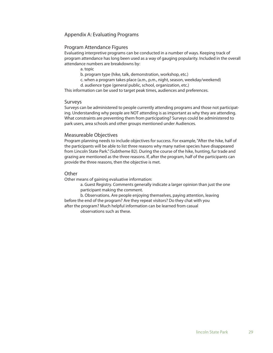# Appendix A: Evaluating Programs

#### Program Attendance Figures

Evaluating interpretive programs can be conducted in a number of ways. Keeping track of program attendance has long been used as a way of gauging popularity. Included in the overall attendance numbers are breakdowns by:

- a. topic
- b. program type (hike, talk, demonstration, workshop, etc.)
- c. when a program takes place (a.m., p.m., night, season, weekday/weekend)
- d. audience type (general public, school, organization, etc.)

This information can be used to target peak times, audiences and preferences.

#### Surveys

Surveys can be administered to people currently attending programs and those not participating. Understanding why people are NOT attending is as important as why they are attending. What constraints are preventing them from participating? Surveys could be administered to park users, area schools and other groups mentioned under Audiences.

#### Measureable Objectives

Program planning needs to include objectives for success. For example, "After the hike, half of the participants will be able to list three reasons why many native species have disappeared from Lincoln State Park." (Subtheme B2). During the course of the hike, hunting, fur trade and grazing are mentioned as the three reasons. If, after the program, half of the participants can provide the three reasons, then the objective is met.

#### **Other**

Other means of gaining evaluative information:

 a. Guest Registry. Comments generally indicate a larger opinion than just the one participant making the comment.

 b. Observations. Are people enjoying themselves, paying attention, leaving before the end of the program? Are they repeat visitors? Do they chat with you after the program? Much helpful information can be learned from casual

observations such as these.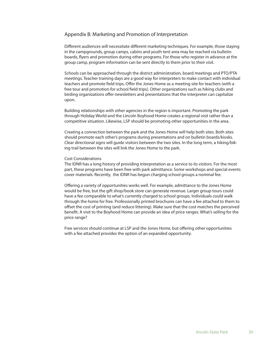# Appendix B: Marketing and Promotion of Interpretation

Different audiences will necessitate different marketing techniques. For example, those staying in the campgrounds, group camps, cabins and youth tent area may be reached via bulletin boards, flyers and promotion during other programs. For those who register in advance at the group camp, program information can be sent directly to them prior to their visit.

Schools can be approached through the district administration, board meetings and PTO/PTA meetings. Teacher training days are a good way for interpreters to make contact with individual teachers and promote field trips. Offer the Jones Home as a meeting site for teachers (with a free tour and promotion for school field trips). Other organizations such as hiking clubs and birding organizations offer newsletters and presentations that the interpreter can capitalize upon.

Building relationships with other agencies in the region is important. Promoting the park through Holiday World and the Lincoln Boyhood Home creates a regional visit rather than a competitive situation. Likewise, LSP should be promoting other opportunities in the area.

Creating a connection between the park and the Jones Home will help both sites. Both sites should promote each other's programs during presentations and on bulletin boards/kiosks. Clear directional signs will guide visitors between the two sites. In the long term, a hiking/biking trail between the sites will link the Jones Home to the park.

#### Cost Considerations

The IDNR has a long history of providing interpretation as a service to its visitors. For the most part, these programs have been free with park admittance. Some workshops and special events cover materials. Recently, the IDNR has begun charging school groups a nominal fee.

Offering a variety of opportunities works well. For example, admittance to the Jones Home would be free, but the gift shop/book store can generate revenue. Larger group tours could have a fee comparable to what's currently charged to school groups. Individuals could walk through the home for free. Professionally printed brochures can have a fee attached to them to offset the cost of printing (and reduce littering). Make sure that the cost matches the perceived benefit. A visit to the Boyhood Home can provide an idea of price ranges. What's selling for the price range?

Free services should continue at LSP and the Jones Home, but offering other opportunities with a fee attached provides the option of an expanded opportunity.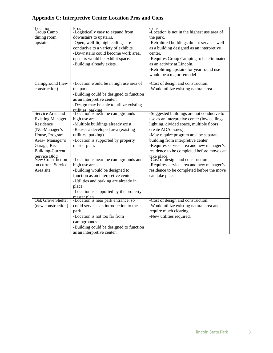# **Appendix C: Interpretive Center Location Pros and Cons**

| <b>Location</b><br>Group Camp    | Pros                                                     | Cons                                         |
|----------------------------------|----------------------------------------------------------|----------------------------------------------|
|                                  | -Logistically easy to expand from                        | -Location is not in the highest use area of  |
| dining room                      | downstairs to upstairs.                                  | the park.                                    |
| upstairs                         | -Open, well-lit, high ceilings are                       | -Retrofitted buildings do not serve as well  |
|                                  | conducive to a variety of exhibits.                      | as a building designed as an interpretive    |
|                                  | -Downstairs could become work area,                      | center.                                      |
|                                  | upstairs would be exhibit space.                         | -Requires Group Camping to be eliminated     |
|                                  | -Building already exists.                                | as an activity at Lincoln.                   |
|                                  |                                                          | -Retrofitting upstairs for year round use    |
|                                  |                                                          | would be a major remodel                     |
| Campground (new                  | -Location would be in high use area of                   | -Cost of design and construction.            |
| construction)                    | the park.                                                | -Would utilize existing natural area.        |
|                                  | -Building could be designed to function                  |                                              |
|                                  | as an interpretive center.                               |                                              |
|                                  | -Design may be able to utilize existing                  |                                              |
|                                  |                                                          |                                              |
| Service Area and                 | utilities, parking<br>-Location is near the campgrounds— | -Suggested buildings are not conducive to    |
| <b>Existing Manager</b>          | high use area.                                           | use as an interpretive center (low ceilings, |
| Residence                        | -Multiple buildings already exist.                       | lighting, divided space, multiple floors     |
| (NC-Manager's                    | -Reuses a developed area (existing                       | create ADA issues).                          |
| House, Program                   | utilities, parking)                                      | -May require program area be separate        |
| Area- Manager's                  | -Location is supported by property                       | building from interpretive center            |
| Garage, Rec                      | master plan.                                             | -Requires service area and new manager's     |
| <b>Building-Current</b>          |                                                          | residence to be completed before move can    |
| Service Bldg<br>New Construction |                                                          | take place                                   |
|                                  | -Location is near the campgrounds and                    | -Cost of design and construction             |
| on current Service               | high use areas                                           | -Requires service area and new manager's     |
| Area site                        | -Building would be designed to                           | residence to be completed before the move    |
|                                  | function as an interpretive center                       | can take place.                              |
|                                  | -Utilities and parking are already in                    |                                              |
|                                  | place                                                    |                                              |
|                                  | -Location is supported by the property                   |                                              |
| <b>Oak Grove Shelter</b>         | master plan<br>-Location is near park entrance, so       | -Cost of design and construction.            |
| (new construction)               | could serve as an introduction to the                    | -Would utilize existing natural area and     |
|                                  | park.                                                    | require much clearing.                       |
|                                  | -Location is not too far from                            | -New utilities required.                     |
|                                  | campgrounds.                                             |                                              |
|                                  | -Building could be designed to function                  |                                              |
|                                  |                                                          |                                              |
|                                  | as an interpretive center.                               |                                              |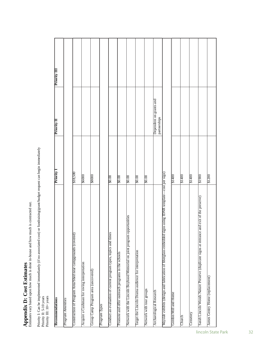# **Appendix D: Cost Estimates**

Appendix D: Cost Estimates<br>Estimates vary based upon how much is done in-house and how much is contracted out. Estimates vary based upon how much is done in-house and how much is contracted out.

Priority I: Can be implemented immediately (if no associated cost) or fundraising/grant/budget request can begin immediately<br>Priority II: 5-10 years<br>Priority III: 10+ years Priority I: Can be implemented immediately (if no associated cost) or fundraising/grant/budget request can begin immediately

Priority II: 5-10 years Priority III: 10+ years

| Recommendations                                                                                          | Priority          | Priority II                             | Priority III |
|----------------------------------------------------------------------------------------------------------|-------------------|-----------------------------------------|--------------|
| Program Amenties                                                                                         |                   |                                         |              |
| Construction of Program Area/Shed near campgrounds (covered)                                             | \$18,500          |                                         |              |
| Acquire a Cushman for roving interpretation                                                              | 2000\$            |                                         |              |
| Group Camp Program area (uncovered)                                                                      | <b>28000</b>      |                                         |              |
| Program Types                                                                                            |                   |                                         |              |
| Conduct an evaluation of current program types, topics and times                                         | $\frac{80.00}{2}$ |                                         |              |
| Promote and offer outreach programs in the schools                                                       | 00.08             |                                         |              |
| Network with the Lincoln Boyhood Memorial on joint program opportunities                                 | 00.08             |                                         |              |
| Target the Lincoln Drama audience for interpretation                                                     | $\frac{80.00}{2}$ |                                         |              |
| Network with tour groups                                                                                 | 00.08             |                                         |              |
| Archaeological Research                                                                                  |                   | Dependent on grants and<br>partnerships |              |
| Wayside exhibits (design and fabrication of fiberglass embedded signs using IDNR template—cost per sign) |                   |                                         |              |
| Gordon Mill and Home                                                                                     | 81400             |                                         |              |
| Church                                                                                                   | \$1400            |                                         |              |
| Cemetery                                                                                                 | \$1400            |                                         |              |
| Sarah Lincoln Woods Nature Preserve (duplicate signs at entrance and exit of the preserve)               | 81900             |                                         |              |
| James Gentry Home (replacement)                                                                          | \$1200            |                                         |              |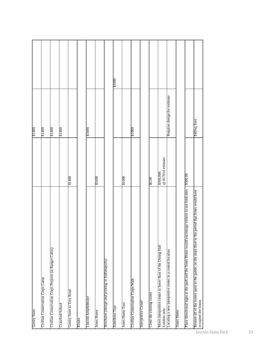| Gentry Store                                                                                                             |                                  | 81400                        |  |
|--------------------------------------------------------------------------------------------------------------------------|----------------------------------|------------------------------|--|
| Civilian Conservation Corps Camp                                                                                         |                                  | 20118                        |  |
| Civilian Conservation Corps Projects (at Ranger Cabin)                                                                   |                                  | 81400                        |  |
| Crawford School                                                                                                          |                                  | 81400                        |  |
| Gentry Store to Troy Road                                                                                                | 21400                            |                              |  |
| Kiosks                                                                                                                   |                                  |                              |  |
| Lincoln Amphitheater                                                                                                     |                                  | 35600                        |  |
| <b>Jones Home</b>                                                                                                        | \$5600                           |                              |  |
| Brochures (design and printing in Indianapolis)                                                                          |                                  |                              |  |
| <b>Jonesboro</b> Tour                                                                                                    |                                  | 0001\$1                      |  |
| <b>Jones Home Tour</b>                                                                                                   | $0001$ \$                        |                              |  |
| Civilian Conservation Corps Walk                                                                                         |                                  | \$1000                       |  |
| Interpretive Center                                                                                                      |                                  |                              |  |
| Close the existing center                                                                                                | 20.00                            |                              |  |
| Move interpretive center to lower floor of the Dining Hall<br>Exhibits only                                              | @ \$170/sf estimate<br>\$360,000 |                              |  |
| Locating a new interpretive center in a central location                                                                 |                                  | Requires design for estimate |  |
| Jones Home                                                                                                               |                                  |                              |  |
| Place directional signs at the park and the Jones Home would encourage visitors to see both sites                        | \$500.00                         |                              |  |
| Restore all of the rooms open to the public on the main floor to the period that Jones would have<br>occupied the house. |                                  | \$40/sq.foot                 |  |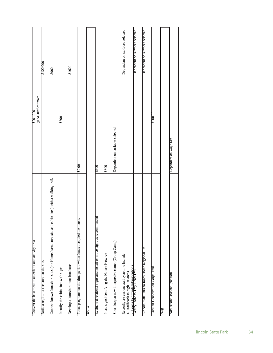| Convert the basement to an exhibit and activity area                                             |                                | \$201,000           |                                |
|--------------------------------------------------------------------------------------------------|--------------------------------|---------------------|--------------------------------|
|                                                                                                  |                                | @ \$170/sf estimate |                                |
| Build a replica of the store on the site.                                                        |                                |                     | \$120,000                      |
| Connect known Jonesboro sites (the Home, barn, store site and cabin sites) with a walking trail. |                                |                     | <b>8900</b>                    |
| Identify the cabin sites with signs                                                              |                                | 8500                |                                |
| Develop a Jonesboro tour brochure                                                                |                                |                     | <b>21000</b>                   |
| Focus programs on the time period when Jones occupied the house.                                 | 00.08                          |                     |                                |
| Trails                                                                                           |                                |                     |                                |
| Evaluate directional signs and install or move signs as recommended                              | $rac{6}{3}$                    |                     |                                |
| Place signs identifying the Nature Preserve                                                      | \$300                          |                     |                                |
| Short loop at new interpretive center (Group Camp)                                               | Dependent on surfaces selected |                     |                                |
| Reconfigure current trail system to include:<br>1. Trailheads in high use areas                  |                                |                     | Dependent on surfaces selected |
| 2. Loops to provide hiking options.<br>Gentry Store to Troy Road Trail                           |                                |                     | Dependent on surfaces selected |
| Lincoln State Park to Jones Home Regional Trail.                                                 |                                |                     | Dependent on surfaces selected |
| Civilian Conservation Corps Trail                                                                |                                | \$900.00            |                                |
| Staff                                                                                            |                                |                     |                                |
| Add second seasonal position                                                                     | Dependent on wage rate         |                     |                                |